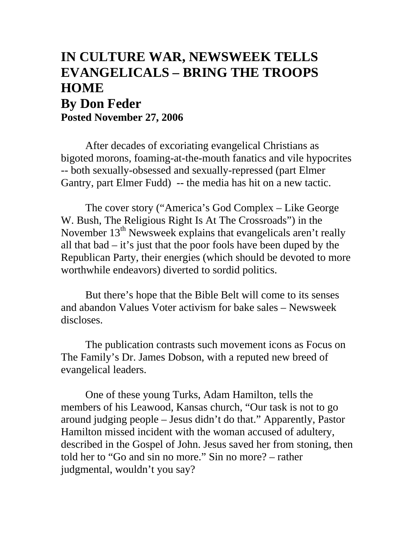## **IN CULTURE WAR, NEWSWEEK TELLS EVANGELICALS – BRING THE TROOPS HOME By Don Feder Posted November 27, 2006**

After decades of excoriating evangelical Christians as bigoted morons, foaming-at-the-mouth fanatics and vile hypocrites -- both sexually-obsessed and sexually-repressed (part Elmer Gantry, part Elmer Fudd) -- the media has hit on a new tactic.

The cover story ("America's God Complex – Like George W. Bush, The Religious Right Is At The Crossroads") in the November  $13<sup>th</sup>$  Newsweek explains that evangelicals aren't really all that bad – it's just that the poor fools have been duped by the Republican Party, their energies (which should be devoted to more worthwhile endeavors) diverted to sordid politics.

But there's hope that the Bible Belt will come to its senses and abandon Values Voter activism for bake sales – Newsweek discloses.

The publication contrasts such movement icons as Focus on The Family's Dr. James Dobson, with a reputed new breed of evangelical leaders.

One of these young Turks, Adam Hamilton, tells the members of his Leawood, Kansas church, "Our task is not to go around judging people – Jesus didn't do that." Apparently, Pastor Hamilton missed incident with the woman accused of adultery, described in the Gospel of John. Jesus saved her from stoning, then told her to "Go and sin no more." Sin no more? – rather judgmental, wouldn't you say?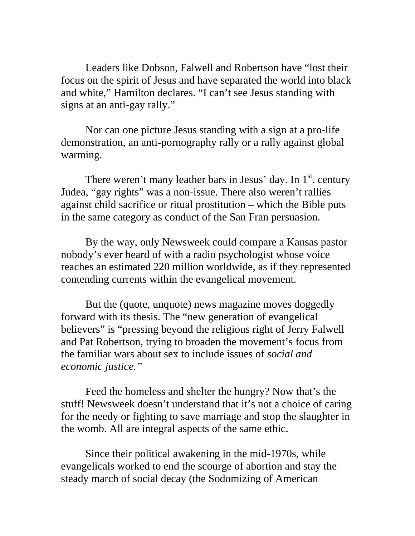Leaders like Dobson, Falwell and Robertson have "lost their focus on the spirit of Jesus and have separated the world into black and white," Hamilton declares. "I can't see Jesus standing with signs at an anti-gay rally."

Nor can one picture Jesus standing with a sign at a pro-life demonstration, an anti-pornography rally or a rally against global warming.

There weren't many leather bars in Jesus' day. In  $1<sup>st</sup>$ , century Judea, "gay rights" was a non-issue. There also weren't rallies against child sacrifice or ritual prostitution – which the Bible puts in the same category as conduct of the San Fran persuasion.

By the way, only Newsweek could compare a Kansas pastor nobody's ever heard of with a radio psychologist whose voice reaches an estimated 220 million worldwide, as if they represented contending currents within the evangelical movement.

But the (quote, unquote) news magazine moves doggedly forward with its thesis. The "new generation of evangelical believers" is "pressing beyond the religious right of Jerry Falwell and Pat Robertson, trying to broaden the movement's focus from the familiar wars about sex to include issues of *social and economic justice."* 

Feed the homeless and shelter the hungry? Now that's the stuff! Newsweek doesn't understand that it's not a choice of caring for the needy or fighting to save marriage and stop the slaughter in the womb. All are integral aspects of the same ethic.

Since their political awakening in the mid-1970s, while evangelicals worked to end the scourge of abortion and stay the steady march of social decay (the Sodomizing of American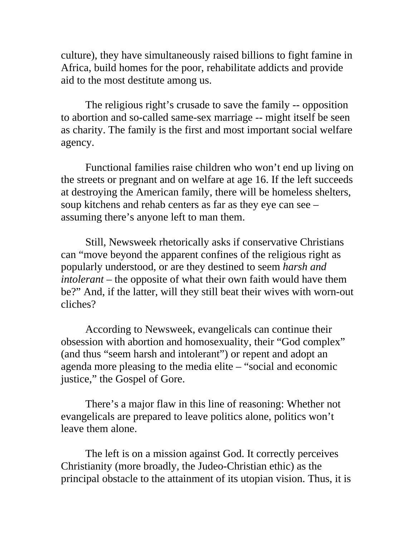culture), they have simultaneously raised billions to fight famine in Africa, build homes for the poor, rehabilitate addicts and provide aid to the most destitute among us.

The religious right's crusade to save the family -- opposition to abortion and so-called same-sex marriage -- might itself be seen as charity. The family is the first and most important social welfare agency.

Functional families raise children who won't end up living on the streets or pregnant and on welfare at age 16. If the left succeeds at destroying the American family, there will be homeless shelters, soup kitchens and rehab centers as far as they eye can see – assuming there's anyone left to man them.

Still, Newsweek rhetorically asks if conservative Christians can "move beyond the apparent confines of the religious right as popularly understood, or are they destined to seem *harsh and intolerant* – the opposite of what their own faith would have them be?" And, if the latter, will they still beat their wives with worn-out cliches?

According to Newsweek, evangelicals can continue their obsession with abortion and homosexuality, their "God complex" (and thus "seem harsh and intolerant") or repent and adopt an agenda more pleasing to the media elite – "social and economic justice," the Gospel of Gore.

There's a major flaw in this line of reasoning: Whether not evangelicals are prepared to leave politics alone, politics won't leave them alone.

The left is on a mission against God. It correctly perceives Christianity (more broadly, the Judeo-Christian ethic) as the principal obstacle to the attainment of its utopian vision. Thus, it is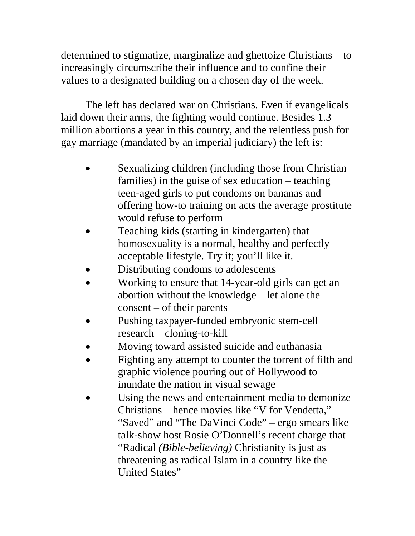determined to stigmatize, marginalize and ghettoize Christians – to increasingly circumscribe their influence and to confine their values to a designated building on a chosen day of the week.

The left has declared war on Christians. Even if evangelicals laid down their arms, the fighting would continue. Besides 1.3 million abortions a year in this country, and the relentless push for gay marriage (mandated by an imperial judiciary) the left is:

- Sexualizing children (including those from Christian families) in the guise of sex education – teaching teen-aged girls to put condoms on bananas and offering how-to training on acts the average prostitute would refuse to perform
- Teaching kids (starting in kindergarten) that homosexuality is a normal, healthy and perfectly acceptable lifestyle. Try it; you'll like it.
- Distributing condoms to adolescents
- Working to ensure that 14-year-old girls can get an abortion without the knowledge – let alone the consent – of their parents
- Pushing taxpayer-funded embryonic stem-cell research – cloning-to-kill
- Moving toward assisted suicide and euthanasia
- Fighting any attempt to counter the torrent of filth and graphic violence pouring out of Hollywood to inundate the nation in visual sewage
- Using the news and entertainment media to demonize Christians – hence movies like "V for Vendetta," "Saved" and "The DaVinci Code" – ergo smears like talk-show host Rosie O'Donnell's recent charge that "Radical *(Bible-believing)* Christianity is just as threatening as radical Islam in a country like the United States"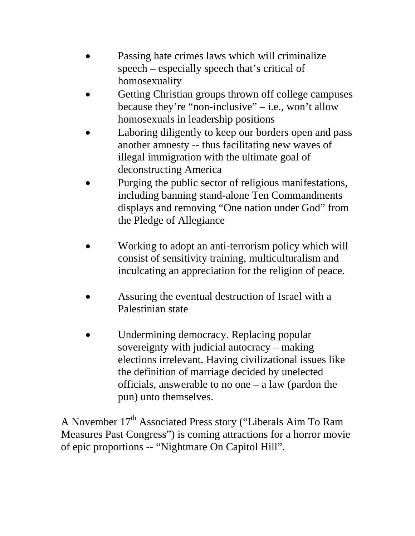- Passing hate crimes laws which will criminalize speech – especially speech that's critical of homosexuality
- Getting Christian groups thrown off college campuses because they're "non-inclusive" – i.e., won't allow homosexuals in leadership positions
- Laboring diligently to keep our borders open and pass another amnesty -- thus facilitating new waves of illegal immigration with the ultimate goal of deconstructing America
- Purging the public sector of religious manifestations, including banning stand-alone Ten Commandments displays and removing "One nation under God" from the Pledge of Allegiance
- Working to adopt an anti-terrorism policy which will consist of sensitivity training, multiculturalism and inculcating an appreciation for the religion of peace.
- Assuring the eventual destruction of Israel with a Palestinian state
- Undermining democracy. Replacing popular sovereignty with judicial autocracy – making elections irrelevant. Having civilizational issues like the definition of marriage decided by unelected officials, answerable to no one – a law (pardon the pun) unto themselves.

A November 17<sup>th</sup> Associated Press story ("Liberals Aim To Ram Measures Past Congress") is coming attractions for a horror movie of epic proportions -- "Nightmare On Capitol Hill".